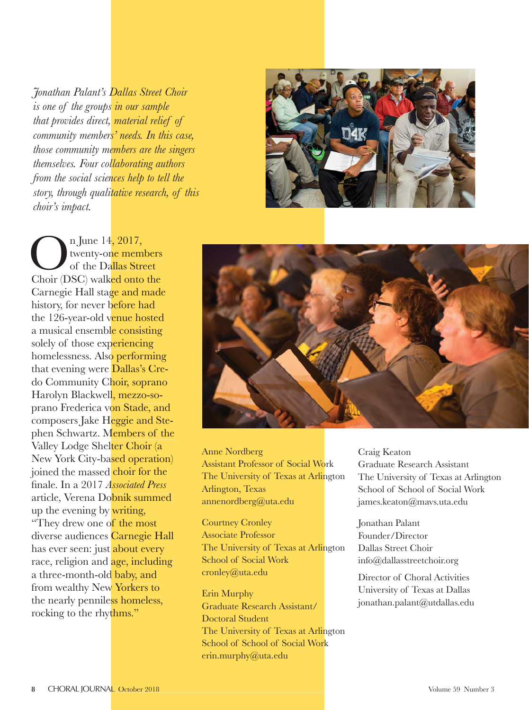*is one of the groups in our sample that provides direct, material relief of community members' needs. In this case, those community members are the singers themselves. Four collaborating authors from the social sciences help to tell the story, through qualitative research, of this choir's impact.*



On June 14, 2017,<br>
of the Dallas Street<br>
Choir (DSC) walked onto the twenty-one members of the Dallas Street Carnegie Hall sta<mark>ge and made</mark><br>history, for never before had<br>the 126-year-old v<mark>enue hosted</mark><br>a musical ensembl<mark>e consisting</mark> history, for never before had the 126-year-old venue hosted a musical ensemble consisting solely of those experiencing homelessness. Also performing that evening were Dallas's Credo Community Choir, soprano Harolyn Blackwell, mezzo-soprano Frederica von Stade, and composers Jake H<mark>eggie and Ste-</mark> phen Schwartz. Members of the Valley Lodge Shelter Choir (a Valley Lodge Shel<mark>ter Choir (a</mark><br>New York City-ba<mark>sed operation</mark>) joined the massed choir for the fi nale. In a 2017 *Associated Press* article, Verena Dobnik summed up the evening by writing, "They drew one of the most diverse audiences Carnegie Hall has ever seen: just about every race, religion and **age**, including a three-month-old baby, and from wealthy New Yorkers to the nearly penniless homeless, rocking to the rhythms." 4, 2017,<br>p<mark>e membe:</mark><br>allas Street hoir, soprano<br>1, mezzo-so-<br>on Stade, and<br>leggie and Ste-<br>1embers of the obnik summe<br>of the most<br>s <mark>Carnegie H:</mark><br>t about every *Jonathan Palant's Dallas Street Choir*<br>*is one of the groups in our sample<br>that provides direct, material relief of<br>community members' needs. In this case<br>those community members' needs. In this case<br>there the social scie* 



Anne Nordberg Assistant Professor of Social Work The University of Texas at Arlington Arlington, Texas annenordberg@uta.edu

Courtney Cronley Associate Professor The University of Texas at Arlington School of Social Work cronley@uta.edu

Erin Murphy Graduate Research Assistant/ Doctoral Student The University of Texas at Arlington School of School of Social Work erin.murphy@uta.edu

Craig Keaton Graduate Research Assistant The University of Texas at Arlington School of School of Social Work james.keaton@mavs.uta.edu

Jonathan Palant Founder/Director Dallas Street Choir info@dallasstreetchoir.org

Director of Choral Activities University of Texas at Dallas jonathan.palant@utdallas.edu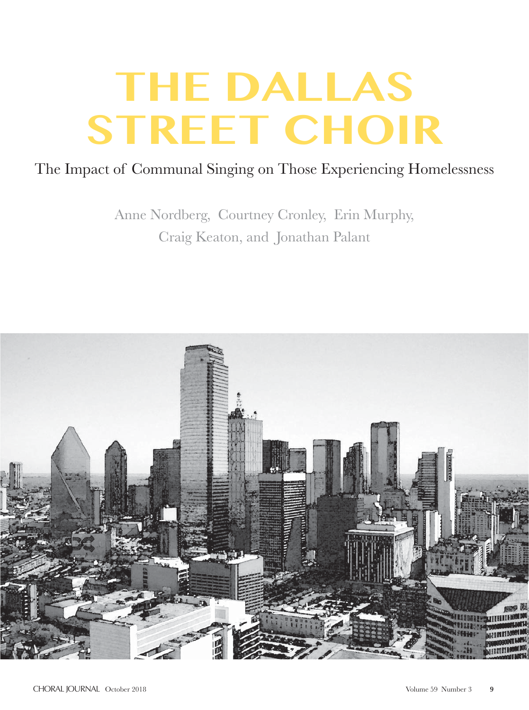### The Impact of Communal Singing on Those Experiencing Homelessness

Anne Nordberg, Courtney Cronley, Erin Murphy, Craig Keaton, and Jonathan Palant

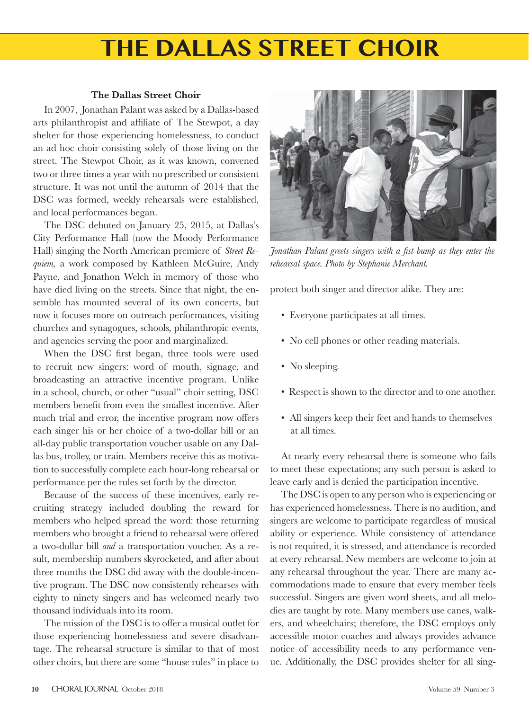#### **The Dallas Street Choir**

In 2007, Jonathan Palant was asked by a Dallas-based arts philanthropist and affiliate of The Stewpot, a day shelter for those experiencing homelessness, to conduct an ad hoc choir consisting solely of those living on the street. The Stewpot Choir, as it was known, convened two or three times a year with no prescribed or consistent structure. It was not until the autumn of 2014 that the DSC was formed, weekly rehearsals were established, and local performances began.

The DSC debuted on January 25, 2015, at Dallas's City Performance Hall (now the Moody Performance Hall) singing the North American premiere of *Street Requiem,* a work composed by Kathleen McGuire, Andy Payne, and Jonathon Welch in memory of those who have died living on the streets. Since that night, the ensemble has mounted several of its own concerts, but now it focuses more on outreach performances, visiting churches and synagogues, schools, philanthropic events, and agencies serving the poor and marginalized.

When the DSC first began, three tools were used to recruit new singers: word of mouth, signage, and broadcasting an attractive incentive program. Unlike in a school, church, or other "usual" choir setting, DSC members benefit from even the smallest incentive. After much trial and error, the incentive program now offers each singer his or her choice of a two-dollar bill or an all-day public transportation voucher usable on any Dallas bus, trolley, or train. Members receive this as motivation to successfully complete each hour-long rehearsal or performance per the rules set forth by the director.

Because of the success of these incentives, early recruiting strategy included doubling the reward for members who helped spread the word: those returning members who brought a friend to rehearsal were offered a two-dollar bill *and* a transportation voucher. As a result, membership numbers skyrocketed, and after about three months the DSC did away with the double-incentive program. The DSC now consistently rehearses with eighty to ninety singers and has welcomed nearly two thousand individuals into its room.

The mission of the DSC is to offer a musical outlet for those experiencing homelessness and severe disadvantage. The rehearsal structure is similar to that of most other choirs, but there are some "house rules" in place to



Jonathan Palant greets singers with a fist bump as they enter the *rehearsal space. Photo by Stephanie Merchant.*

protect both singer and director alike. They are:

- Everyone participates at all times.
- No cell phones or other reading materials.
- No sleeping.
- Respect is shown to the director and to one another.
- All singers keep their feet and hands to themselves at all times.

At nearly every rehearsal there is someone who fails to meet these expectations; any such person is asked to leave early and is denied the participation incentive.

The DSC is open to any person who is experiencing or has experienced homelessness. There is no audition, and singers are welcome to participate regardless of musical ability or experience. While consistency of attendance is not required, it is stressed, and attendance is recorded at every rehearsal. New members are welcome to join at any rehearsal throughout the year. There are many accommodations made to ensure that every member feels successful. Singers are given word sheets, and all melodies are taught by rote. Many members use canes, walkers, and wheelchairs; therefore, the DSC employs only accessible motor coaches and always provides advance notice of accessibility needs to any performance venue. Additionally, the DSC provides shelter for all sing-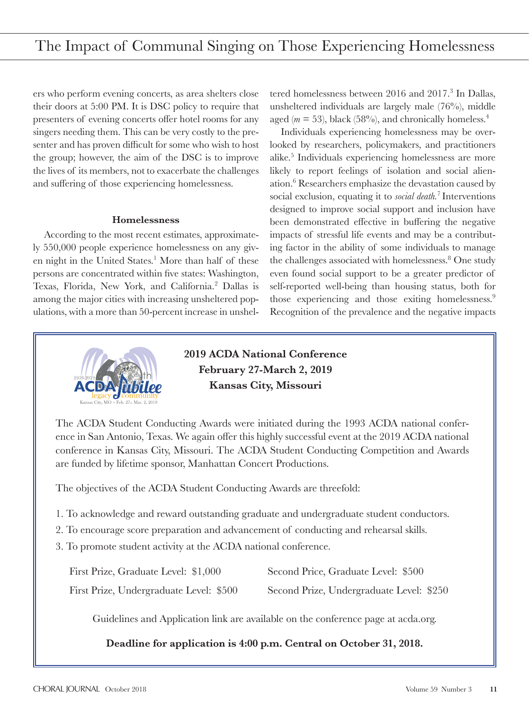ers who perform evening concerts, as area shelters close their doors at 5:00 PM. It is DSC policy to require that presenters of evening concerts offer hotel rooms for any singers needing them. This can be very costly to the presenter and has proven difficult for some who wish to host the group; however, the aim of the DSC is to improve the lives of its members, not to exacerbate the challenges and suffering of those experiencing homelessness.

#### **Homelessness**

According to the most recent estimates, approximately 550,000 people experience homelessness on any given night in the United States.<sup>1</sup> More than half of these persons are concentrated within five states: Washington, Texas, Florida, New York, and California.<sup>2</sup> Dallas is among the major cities with increasing unsheltered populations, with a more than 50-percent increase in unsheltered homelessness between 2016 and 2017.<sup>3</sup> In Dallas, unsheltered individuals are largely male (76%), middle aged ( $m = 53$ ), black (58%), and chronically homeless.<sup>4</sup>

Individuals experiencing homelessness may be overlooked by researchers, policymakers, and practitioners alike.5 Individuals experiencing homelessness are more likely to report feelings of isolation and social alienation.6 Researchers emphasize the devastation caused by social exclusion, equating it to *social death.*<sup>7</sup> Interventions designed to improve social support and inclusion have been demonstrated effective in buffering the negative impacts of stressful life events and may be a contributing factor in the ability of some individuals to manage the challenges associated with homelessness.<sup>8</sup> One study even found social support to be a greater predictor of self-reported well-being than housing status, both for those experiencing and those exiting homelessness.9 Recognition of the prevalence and the negative impacts



### **2019 ACDA National Conference February 27-March 2, 2019 Kansas City, Missouri**

The ACDA Student Conducting Awards were initiated during the 1993 ACDA national conference in San Antonio, Texas. We again offer this highly successful event at the 2019 ACDA national conference in Kansas City, Missouri. The ACDA Student Conducting Competition and Awards are funded by lifetime sponsor, Manhattan Concert Productions.

The objectives of the ACDA Student Conducting Awards are threefold:

- 1. To acknowledge and reward outstanding graduate and undergraduate student conductors.
- 2. To encourage score preparation and advancement of conducting and rehearsal skills.
- 3. To promote student activity at the ACDA national conference.

| First Prize, Graduate Level: \$1,000    | Second Price, Graduate Level: \$500      |  |
|-----------------------------------------|------------------------------------------|--|
| First Prize, Undergraduate Level: \$500 | Second Prize, Undergraduate Level: \$250 |  |

Guidelines and Application link are available on the conference page at acda.org.

**Deadline for application is 4:00 p.m. Central on October 31, 2018.**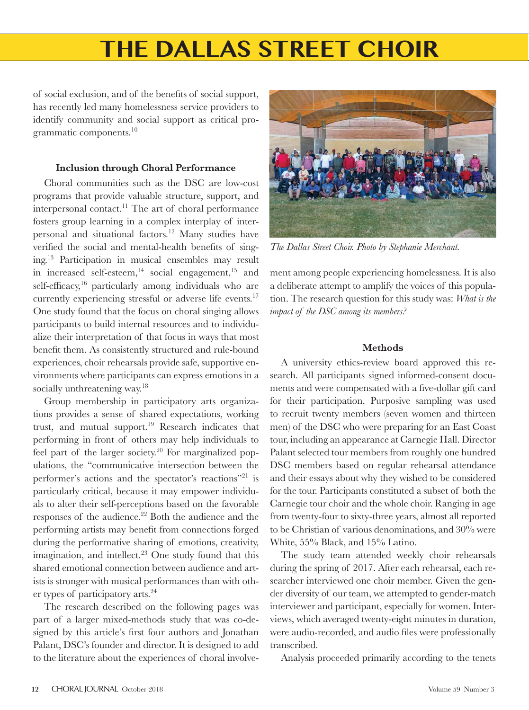of social exclusion, and of the benefits of social support, has recently led many homelessness service providers to identify community and social support as critical programmatic components.<sup>10</sup>

#### **Inclusion through Choral Performance**

Choral communities such as the DSC are low-cost programs that provide valuable structure, support, and interpersonal contact.<sup>11</sup> The art of choral performance fosters group learning in a complex interplay of interpersonal and situational factors.12 Many studies have verified the social and mental-health benefits of singing.13 Participation in musical ensembles may result in increased self-esteem, $14$  social engagement, $15$  and self-efficacy, $16$  particularly among individuals who are currently experiencing stressful or adverse life events.<sup>17</sup> One study found that the focus on choral singing allows participants to build internal resources and to individualize their interpretation of that focus in ways that most benefit them. As consistently structured and rule-bound experiences, choir rehearsals provide safe, supportive environments where participants can express emotions in a socially unthreatening way.<sup>18</sup>

Group membership in participatory arts organizations provides a sense of shared expectations, working trust, and mutual support.<sup>19</sup> Research indicates that performing in front of others may help individuals to feel part of the larger society.<sup>20</sup> For marginalized populations, the "communicative intersection between the performer's actions and the spectator's reactions"21 is particularly critical, because it may empower individuals to alter their self-perceptions based on the favorable responses of the audience.<sup>22</sup> Both the audience and the performing artists may benefit from connections forged during the performative sharing of emotions, creativity, imagination, and intellect. $23$  One study found that this shared emotional connection between audience and artists is stronger with musical performances than with other types of participatory arts.<sup>24</sup>

The research described on the following pages was part of a larger mixed-methods study that was co-designed by this article's first four authors and Jonathan Palant, DSC's founder and director. It is designed to add to the literature about the experiences of choral involve-



*The Dallas Street Choir. Photo by Stephanie Merchant.*

ment among people experiencing homelessness. It is also a deliberate attempt to amplify the voices of this population. The research question for this study was: *What is the impact of the DSC among its members?*

### **Methods**

A university ethics-review board approved this research. All participants signed informed-consent documents and were compensated with a five-dollar gift card for their participation. Purposive sampling was used to recruit twenty members (seven women and thirteen men) of the DSC who were preparing for an East Coast tour, including an appearance at Carnegie Hall. Director Palant selected tour members from roughly one hundred DSC members based on regular rehearsal attendance and their essays about why they wished to be considered for the tour. Participants constituted a subset of both the Carnegie tour choir and the whole choir. Ranging in age from twenty-four to sixty-three years, almost all reported to be Christian of various denominations, and 30% were White, 55% Black, and 15% Latino.

The study team attended weekly choir rehearsals during the spring of 2017. After each rehearsal, each researcher interviewed one choir member. Given the gender diversity of our team, we attempted to gender-match interviewer and participant, especially for women. Interviews, which averaged twenty-eight minutes in duration, were audio-recorded, and audio files were professionally transcribed.

Analysis proceeded primarily according to the tenets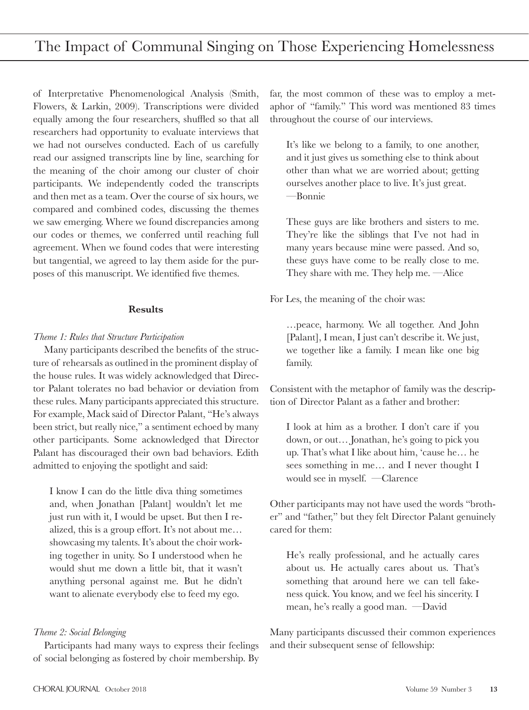of Interpretative Phenomenological Analysis (Smith, Flowers, & Larkin, 2009). Transcriptions were divided equally among the four researchers, shuffled so that all researchers had opportunity to evaluate interviews that we had not ourselves conducted. Each of us carefully read our assigned transcripts line by line, searching for the meaning of the choir among our cluster of choir participants. We independently coded the transcripts and then met as a team. Over the course of six hours, we compared and combined codes, discussing the themes we saw emerging. Where we found discrepancies among our codes or themes, we conferred until reaching full agreement. When we found codes that were interesting but tangential, we agreed to lay them aside for the purposes of this manuscript. We identified five themes.

#### **Results**

#### *Theme 1: Rules that Structure Participation*

Many participants described the benefits of the structure of rehearsals as outlined in the prominent display of the house rules. It was widely acknowledged that Director Palant tolerates no bad behavior or deviation from these rules. Many participants appreciated this structure. For example, Mack said of Director Palant, "He's always been strict, but really nice," a sentiment echoed by many other participants. Some acknowledged that Director Palant has discouraged their own bad behaviors. Edith admitted to enjoying the spotlight and said:

I know I can do the little diva thing sometimes and, when Jonathan [Palant] wouldn't let me just run with it, I would be upset. But then I realized, this is a group effort. It's not about me... showcasing my talents. It's about the choir working together in unity. So I understood when he would shut me down a little bit, that it wasn't anything personal against me. But he didn't want to alienate everybody else to feed my ego.

### *Theme 2: Social Belonging*

Participants had many ways to express their feelings of social belonging as fostered by choir membership. By far, the most common of these was to employ a metaphor of "family." This word was mentioned 83 times throughout the course of our interviews.

It's like we belong to a family, to one another, and it just gives us something else to think about other than what we are worried about; getting ourselves another place to live. It's just great. —Bonnie

These guys are like brothers and sisters to me. They're like the siblings that I've not had in many years because mine were passed. And so, these guys have come to be really close to me. They share with me. They help me. —Alice

For Les, the meaning of the choir was:

…peace, harmony. We all together. And John [Palant], I mean, I just can't describe it. We just, we together like a family. I mean like one big family.

Consistent with the metaphor of family was the description of Director Palant as a father and brother:

I look at him as a brother. I don't care if you down, or out… Jonathan, he's going to pick you up. That's what I like about him, 'cause he… he sees something in me… and I never thought I would see in myself. —Clarence

Other participants may not have used the words "brother" and "father," but they felt Director Palant genuinely cared for them:

He's really professional, and he actually cares about us. He actually cares about us. That's something that around here we can tell fakeness quick. You know, and we feel his sincerity. I mean, he's really a good man. —David

Many participants discussed their common experiences and their subsequent sense of fellowship: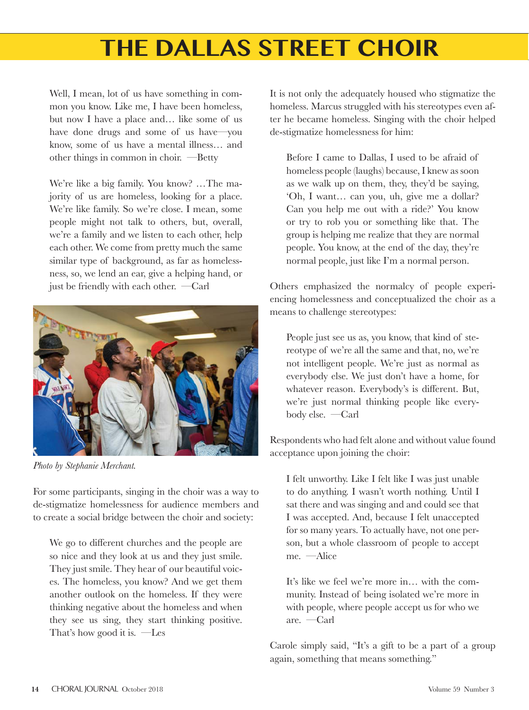Well, I mean, lot of us have something in common you know. Like me, I have been homeless, but now I have a place and… like some of us have done drugs and some of us have—you know, some of us have a mental illness… and other things in common in choir. —Betty

We're like a big family. You know? …The majority of us are homeless, looking for a place. We're like family. So we're close. I mean, some people might not talk to others, but, overall, we're a family and we listen to each other, help each other. We come from pretty much the same similar type of background, as far as homelessness, so, we lend an ear, give a helping hand, or just be friendly with each other. —Carl



*Photo by Stephanie Merchant.*

For some participants, singing in the choir was a way to de-stigmatize homelessness for audience members and to create a social bridge between the choir and society:

We go to different churches and the people are so nice and they look at us and they just smile. They just smile. They hear of our beautiful voices. The homeless, you know? And we get them another outlook on the homeless. If they were thinking negative about the homeless and when they see us sing, they start thinking positive. That's how good it is. —Les

It is not only the adequately housed who stigmatize the homeless. Marcus struggled with his stereotypes even after he became homeless. Singing with the choir helped de-stigmatize homelessness for him:

Before I came to Dallas, I used to be afraid of homeless people (laughs) because, I knew as soon as we walk up on them, they, they'd be saying, 'Oh, I want… can you, uh, give me a dollar? Can you help me out with a ride?' You know or try to rob you or something like that. The group is helping me realize that they are normal people. You know, at the end of the day, they're normal people, just like I'm a normal person.

Others emphasized the normalcy of people experiencing homelessness and conceptualized the choir as a means to challenge stereotypes:

People just see us as, you know, that kind of stereotype of we're all the same and that, no, we're not intelligent people. We're just as normal as everybody else. We just don't have a home, for whatever reason. Everybody's is different. But, we're just normal thinking people like everybody else. —Carl

Respondents who had felt alone and without value found acceptance upon joining the choir:

I felt unworthy. Like I felt like I was just unable to do anything. I wasn't worth nothing. Until I sat there and was singing and and could see that I was accepted. And, because I felt unaccepted for so many years. To actually have, not one person, but a whole classroom of people to accept me. —Alice

It's like we feel we're more in… with the community. Instead of being isolated we're more in with people, where people accept us for who we are. —Carl

Carole simply said, "It's a gift to be a part of a group again, something that means something."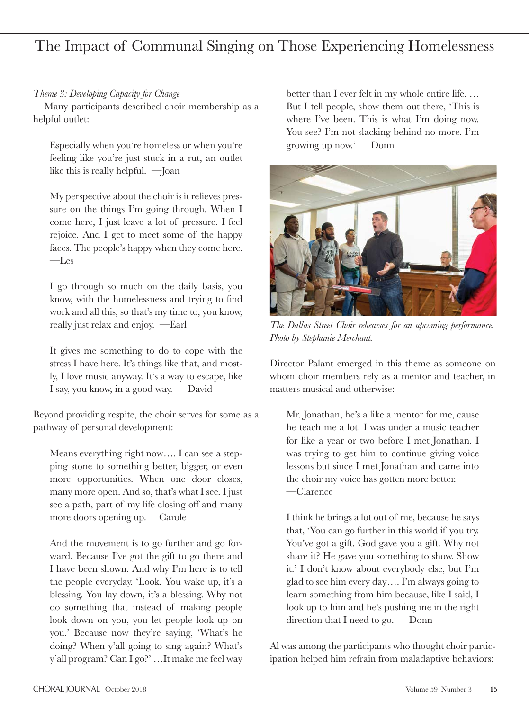### *Theme 3: Developing Capacity for Change*

Many participants described choir membership as a helpful outlet:

Especially when you're homeless or when you're feeling like you're just stuck in a rut, an outlet like this is really helpful. —Joan

My perspective about the choir is it relieves pressure on the things I'm going through. When I come here, I just leave a lot of pressure. I feel rejoice. And I get to meet some of the happy faces. The people's happy when they come here. —Les

I go through so much on the daily basis, you know, with the homelessness and trying to find work and all this, so that's my time to, you know, really just relax and enjoy. —Earl

It gives me something to do to cope with the stress I have here. It's things like that, and mostly, I love music anyway. It's a way to escape, like I say, you know, in a good way. —David

Beyond providing respite, the choir serves for some as a pathway of personal development:

Means everything right now…. I can see a stepping stone to something better, bigger, or even more opportunities. When one door closes, many more open. And so, that's what I see. I just see a path, part of my life closing off and many more doors opening up. —Carole

And the movement is to go further and go forward. Because I've got the gift to go there and I have been shown. And why I'm here is to tell the people everyday, 'Look. You wake up, it's a blessing. You lay down, it's a blessing. Why not do something that instead of making people look down on you, you let people look up on you.' Because now they're saying, 'What's he doing? When y'all going to sing again? What's y'all program? Can I go?' …It make me feel way

better than I ever felt in my whole entire life. … But I tell people, show them out there, 'This is where I've been. This is what I'm doing now. You see? I'm not slacking behind no more. I'm growing up now.' —Donn



*The Dallas Street Choir rehearses for an upcoming performance. Photo by Stephanie Merchant.*

Director Palant emerged in this theme as someone on whom choir members rely as a mentor and teacher, in matters musical and otherwise:

Mr. Jonathan, he's a like a mentor for me, cause he teach me a lot. I was under a music teacher for like a year or two before I met Jonathan. I was trying to get him to continue giving voice lessons but since I met Jonathan and came into the choir my voice has gotten more better. —Clarence

I think he brings a lot out of me, because he says that, 'You can go further in this world if you try. You've got a gift. God gave you a gift. Why not share it? He gave you something to show. Show it.' I don't know about everybody else, but I'm glad to see him every day…. I'm always going to learn something from him because, like I said, I look up to him and he's pushing me in the right direction that I need to go. —Donn

Al was among the participants who thought choir participation helped him refrain from maladaptive behaviors: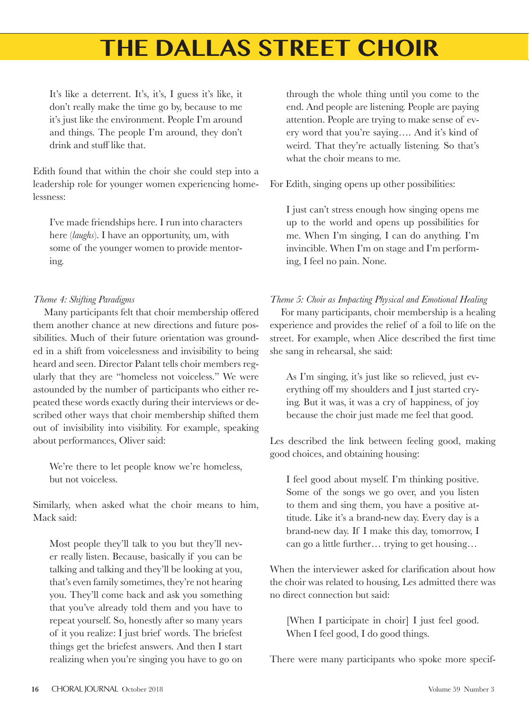It's like a deterrent. It's, it's, I guess it's like, it don't really make the time go by, because to me it's just like the environment. People I'm around and things. The people I'm around, they don't drink and stuff like that.

Edith found that within the choir she could step into a leadership role for younger women experiencing homelessness:

I've made friendships here. I run into characters here (*laughs*). I have an opportunity, um, with some of the younger women to provide mentoring.

### *Theme 4: Shifting Paradigms*

Many participants felt that choir membership offered them another chance at new directions and future possibilities. Much of their future orientation was grounded in a shift from voicelessness and invisibility to being heard and seen. Director Palant tells choir members regularly that they are "homeless not voiceless." We were astounded by the number of participants who either repeated these words exactly during their interviews or described other ways that choir membership shifted them out of invisibility into visibility. For example, speaking about performances, Oliver said:

We're there to let people know we're homeless, but not voiceless.

Similarly, when asked what the choir means to him, Mack said:

Most people they'll talk to you but they'll never really listen. Because, basically if you can be talking and talking and they'll be looking at you, that's even family sometimes, they're not hearing you. They'll come back and ask you something that you've already told them and you have to repeat yourself. So, honestly after so many years of it you realize: I just brief words. The briefest things get the briefest answers. And then I start realizing when you're singing you have to go on through the whole thing until you come to the end. And people are listening. People are paying attention. People are trying to make sense of every word that you're saying…. And it's kind of weird. That they're actually listening. So that's what the choir means to me.

For Edith, singing opens up other possibilities:

I just can't stress enough how singing opens me up to the world and opens up possibilities for me. When I'm singing, I can do anything. I'm invincible. When I'm on stage and I'm performing, I feel no pain. None.

### *Theme 5: Choir as Impacting Physical and Emotional Healing*

For many participants, choir membership is a healing experience and provides the relief of a foil to life on the street. For example, when Alice described the first time she sang in rehearsal, she said:

As I'm singing, it's just like so relieved, just everything off my shoulders and I just started crying. But it was, it was a cry of happiness, of joy because the choir just made me feel that good.

Les described the link between feeling good, making good choices, and obtaining housing:

I feel good about myself. I'm thinking positive. Some of the songs we go over, and you listen to them and sing them, you have a positive attitude. Like it's a brand-new day. Every day is a brand-new day. If I make this day, tomorrow, I can go a little further… trying to get housing…

When the interviewer asked for clarification about how the choir was related to housing, Les admitted there was no direct connection but said:

[When I participate in choir] I just feel good. When I feel good, I do good things.

There were many participants who spoke more specif-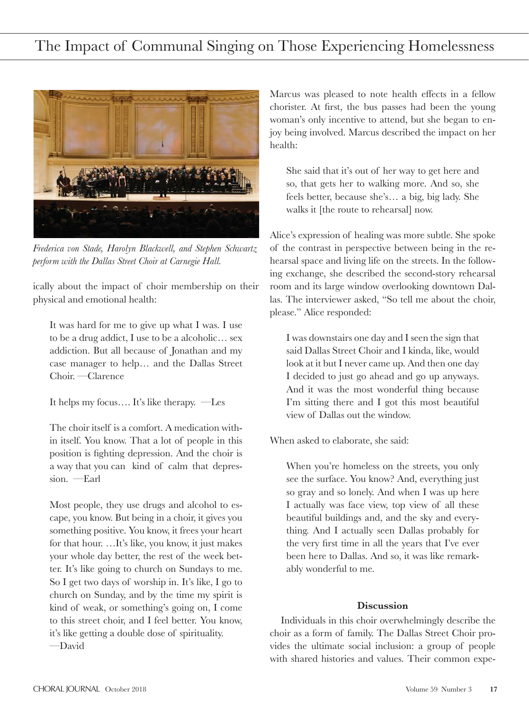

*Frederica von Stade, Harolyn Blackwell, and Stephen Schwartz perform with the Dallas Street Choir at Carnegie Hall.*

ically about the impact of choir membership on their physical and emotional health:

It was hard for me to give up what I was. I use to be a drug addict, I use to be a alcoholic… sex addiction. But all because of Jonathan and my case manager to help… and the Dallas Street Choir. —Clarence

It helps my focus…. It's like therapy. —Les

The choir itself is a comfort. A medication within itself. You know. That a lot of people in this position is fighting depression. And the choir is a way that you can kind of calm that depression. —Earl

Most people, they use drugs and alcohol to escape, you know. But being in a choir, it gives you something positive. You know, it frees your heart for that hour. …It's like, you know, it just makes your whole day better, the rest of the week better. It's like going to church on Sundays to me. So I get two days of worship in. It's like, I go to church on Sunday, and by the time my spirit is kind of weak, or something's going on, I come to this street choir, and I feel better. You know, it's like getting a double dose of spirituality. —David

Marcus was pleased to note health effects in a fellow chorister. At first, the bus passes had been the young woman's only incentive to attend, but she began to enjoy being involved. Marcus described the impact on her health:

She said that it's out of her way to get here and so, that gets her to walking more. And so, she feels better, because she's… a big, big lady. She walks it [the route to rehearsal] now.

Alice's expression of healing was more subtle. She spoke of the contrast in perspective between being in the rehearsal space and living life on the streets. In the following exchange, she described the second-story rehearsal room and its large window overlooking downtown Dallas. The interviewer asked, "So tell me about the choir, please." Alice responded:

I was downstairs one day and I seen the sign that said Dallas Street Choir and I kinda, like, would look at it but I never came up. And then one day I decided to just go ahead and go up anyways. And it was the most wonderful thing because I'm sitting there and I got this most beautiful view of Dallas out the window.

When asked to elaborate, she said:

When you're homeless on the streets, you only see the surface. You know? And, everything just so gray and so lonely. And when I was up here I actually was face view, top view of all these beautiful buildings and, and the sky and everything. And I actually seen Dallas probably for the very first time in all the years that I've ever been here to Dallas. And so, it was like remarkably wonderful to me.

### **Discussion**

Individuals in this choir overwhelmingly describe the choir as a form of family. The Dallas Street Choir provides the ultimate social inclusion: a group of people with shared histories and values. Their common expe-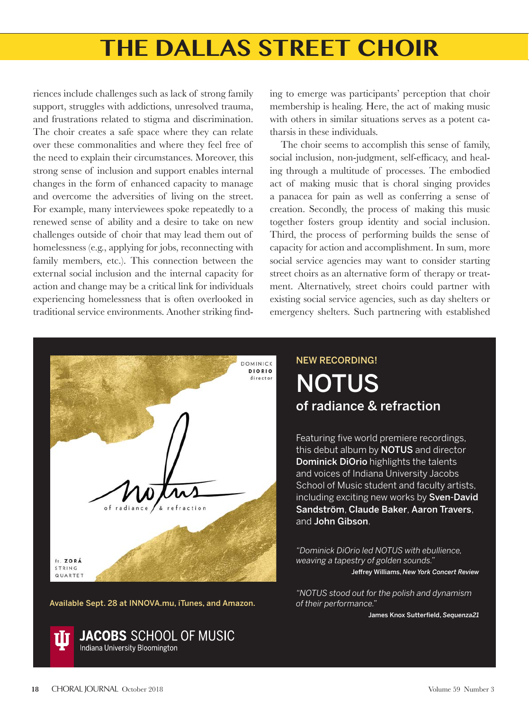riences include challenges such as lack of strong family support, struggles with addictions, unresolved trauma, and frustrations related to stigma and discrimination. The choir creates a safe space where they can relate over these commonalities and where they feel free of the need to explain their circumstances. Moreover, this strong sense of inclusion and support enables internal changes in the form of enhanced capacity to manage and overcome the adversities of living on the street. For example, many interviewees spoke repeatedly to a renewed sense of ability and a desire to take on new challenges outside of choir that may lead them out of homelessness (e.g., applying for jobs, reconnecting with family members, etc.). This connection between the external social inclusion and the internal capacity for action and change may be a critical link for individuals experiencing homelessness that is often overlooked in traditional service environments. Another striking finding to emerge was participants' perception that choir membership is healing. Here, the act of making music with others in similar situations serves as a potent catharsis in these individuals.

The choir seems to accomplish this sense of family, social inclusion, non-judgment, self-efficacy, and healing through a multitude of processes. The embodied act of making music that is choral singing provides a panacea for pain as well as conferring a sense of creation. Secondly, the process of making this music together fosters group identity and social inclusion. Third, the process of performing builds the sense of capacity for action and accomplishment. In sum, more social service agencies may want to consider starting street choirs as an alternative form of therapy or treatment. Alternatively, street choirs could partner with existing social service agencies, such as day shelters or emergency shelters. Such partnering with established



Available Sept. 28 at INNOVA.mu, iTunes, and Amazon.



NEW RECORDING! **NOTUS** of radiance & refraction

Featuring five world premiere recordings, this debut album by **NOTUS** and director Dominick DiOrio highlights the talents and voices of Indiana University Jacobs School of Music student and faculty artists, including exciting new works by Sven-David Sandström, Claude Baker, Aaron Travers, and John Gibson.

*"Dominick DiOrio led NOTUS with ebullience, weaving a tapestry of golden sounds."* Jeffrey Williams, *New York Concert Review*

*"NOTUS stood out for the polish and dynamism of their performance."*

James Knox Sutterfield, *Sequenza21*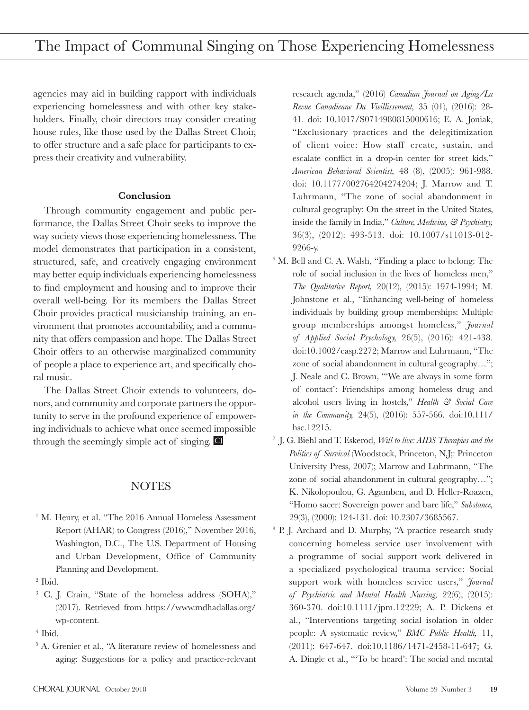agencies may aid in building rapport with individuals experiencing homelessness and with other key stakeholders. Finally, choir directors may consider creating house rules, like those used by the Dallas Street Choir, to offer structure and a safe place for participants to express their creativity and vulnerability.

#### **Conclusion**

Through community engagement and public performance, the Dallas Street Choir seeks to improve the way society views those experiencing homelessness. The model demonstrates that participation in a consistent, structured, safe, and creatively engaging environment may better equip individuals experiencing homelessness to find employment and housing and to improve their overall well-being. For its members the Dallas Street Choir provides practical musicianship training, an environment that promotes accountability, and a community that offers compassion and hope. The Dallas Street Choir offers to an otherwise marginalized community of people a place to experience art, and specifically choral music.

The Dallas Street Choir extends to volunteers, donors, and community and corporate partners the opportunity to serve in the profound experience of empowering individuals to achieve what once seemed impossible through the seemingly simple act of singing. C

### NOTES

- <sup>1</sup> M. Henry, et al. "The 2016 Annual Homeless Assessment Report (AHAR) to Congress (2016)," November 2016, Washington, D.C., The U.S. Department of Housing and Urban Development, Office of Community Planning and Development.
- 2 Ibid.
- 3 C. J. Crain, "State of the homeless address (SOHA)," (2017). Retrieved from https://www.mdhadallas.org/ wp-content.

 5 A. Grenier et al., "A literature review of homelessness and aging: Suggestions for a policy and practice-relevant

research agenda," (2016) *Canadian Journal on Aging/La Revue Canadienne Du Vieillissement,* 35 (01), (2016): 28- 41. doi: 10.1017/S0714980815000616; E. A. Joniak, "Exclusionary practices and the delegitimization of client voice: How staff create, sustain, and escalate conflict in a drop-in center for street kids," *American Behavioral Scientist,* 48 (8), (2005): 961-988. doi: 10.1177/002764204274204; J. Marrow and T. Luhrmann, "The zone of social abandonment in cultural geography: On the street in the United States, inside the family in India," *Culture, Medicine, & Psychiatry,* 36(3), (2012): 493-513. doi: 10.1007/s11013-012- 9266-y.

- 6 M. Bell and C. A. Walsh, "Finding a place to belong: The role of social inclusion in the lives of homeless men," *The Qualitative Report,* 20(12), (2015): 1974-1994; M. Johnstone et al., "Enhancing well-being of homeless individuals by building group memberships: Multiple group memberships amongst homeless," *Journal of Applied Social Psychology,* 26(5), (2016): 421-438. doi:10.1002/casp.2272; Marrow and Luhrmann, "The zone of social abandonment in cultural geography…"; J. Neale and C. Brown, "'We are always in some form of contact': Friendships among homeless drug and alcohol users living in hostels," *Health & Social Care in the Community,* 24(5), (2016): 557-566. doi:10.111/ hsc.12215.
- 7 J. G. Biehl and T. Eskerod, *Will to live: AIDS Therapies and the Politics of Survival* (Woodstock, Princeton, N.J;: Princeton University Press, 2007); Marrow and Luhrmann, "The zone of social abandonment in cultural geography…"; K. Nikolopoulou, G. Agamben, and D. Heller-Roazen, "Homo sacer: Sovereign power and bare life," *Substance,*  29(3), (2000): 124-131. doi: 10.2307/3685567.
- <sup>8</sup> P. J. Archard and D. Murphy, "A practice research study concerning homeless service user involvement with a programme of social support work delivered in a specialized psychological trauma service: Social support work with homeless service users," *Journal of Psychiatric and Mental Health Nursing,* 22(6), (2015): 360-370. doi:10.1111/jpm.12229; A. P. Dickens et al., "Interventions targeting social isolation in older people: A systematic review," *BMC Public Health,* 11, (2011): 647-647. doi:10.1186/1471-2458-11-647; G. A. Dingle et al., "'To be heard': The social and mental

 <sup>4</sup> Ibid.